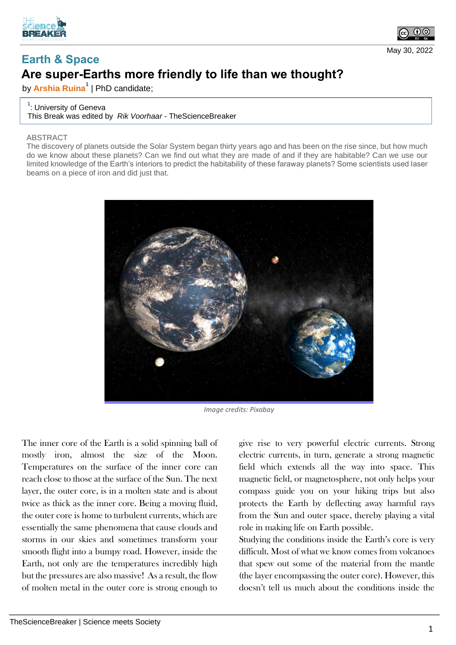



May 30, 2022

## **Earth & Space Are super-Earths more friendly to life than we thought?**

by **Arshia Ruina<sup>1</sup>** | PhD candidate;

## <sup>1</sup>: University of Geneva

This Break was edited by *Rik Voorhaar* - TheScienceBreaker

## ABSTRACT

The discovery of planets outside the Solar System began thirty years ago and has been on the rise since, but how much do we know about these planets? Can we find out what they are made of and if they are habitable? Can we use our limited knowledge of the Earth's interiors to predict the habitability of these faraway planets? Some scientists used laser beams on a piece of iron and did just that.



*Image credits: Pixabay*

The inner core of the Earth is a solid spinning ball of mostly iron, almost the size of the Moon. Temperatures on the surface of the inner core can reach close to those at the surface of the Sun. The next layer, the outer core, is in a molten state and is about twice as thick as the inner core. Being a moving fluid, the outer core is home to turbulent currents, which are essentially the same phenomena that cause clouds and storms in our skies and sometimes transform your smooth flight into a bumpy road. However, inside the Earth, not only are the temperatures incredibly high but the pressures are also massive! As a result, the flow of molten metal in the outer core is strong enough to

give rise to very powerful electric currents. Strong electric currents, in turn, generate a strong magnetic field which extends all the way into space. This magnetic field, or magnetosphere, not only helps your compass guide you on your hiking trips but also protects the Earth by deflecting away harmful rays from the Sun and outer space, thereby playing a vital role in making life on Earth possible.

Studying the conditions inside the Earth's core is very difficult. Most of what we know comes from volcanoes that spew out some of the material from the mantle (the layer encompassing the outer core). However, this doesn't tell us much about the conditions inside the